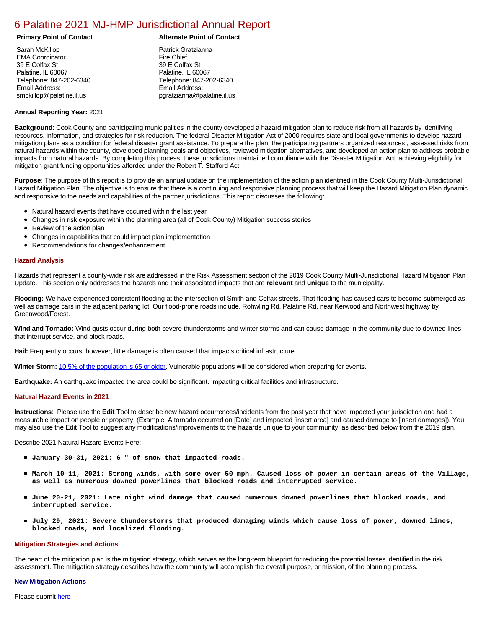### [6 Palatine 2021 MJ-HMP Jurisdictional Annual Report](https://palatine.isc-cemp.com/Cemp/Details?id=8322809)

| Sarah McKillop           |
|--------------------------|
| <b>EMA Coordinator</b>   |
| 39 E Colfax St           |
| Palatine, IL 60067       |
| Telephone: 847-202-6340  |
| Email Address:           |
| smckillop@palatine.il.us |

#### **Primary Point of Contact Alternate Point of Contact**

Patrick Gratzianna Fire Chief 39 E Colfax St Palatine, IL 60067 Telephone: 847-202-6340 Email Address: pgratzianna@palatine.il.us

#### **Annual Reporting Year:** 2021

**Background**: Cook County and participating municipalities in the county developed a hazard mitigation plan to reduce risk from all hazards by identifying resources, information, and strategies for risk reduction. The federal Disaster Mitigation Act of 2000 requires state and local governments to develop hazard mitigation plans as a condition for federal disaster grant assistance. To prepare the plan, the participating partners organized resources , assessed risks from natural hazards within the county, developed planning goals and objectives, reviewed mitigation alternatives, and developed an action plan to address probable impacts from natural hazards. By completing this process, these jurisdictions maintained compliance with the Disaster Mitigation Act, achieving eligibility for mitigation grant funding opportunities afforded under the Robert T. Stafford Act.

**Purpose**: The purpose of this report is to provide an annual update on the implementation of the action plan identified in the Cook County Multi-Jurisdictional Hazard Mitigation Plan. The objective is to ensure that there is a continuing and responsive planning process that will keep the Hazard Mitigation Plan dynamic and responsive to the needs and capabilities of the partner jurisdictions. This report discusses the following:

- Natural hazard events that have occurred within the last year
- Changes in risk exposure within the planning area (all of Cook County) Mitigation success stories
- Review of the action plan
- Changes in capabilities that could impact plan implementation
- Recommendations for changes/enhancement.

#### **Hazard Analysis**

Hazards that represent a county-wide risk are addressed in the Risk Assessment section of the 2019 Cook County Multi-Jurisdictional Hazard Mitigation Plan Update. This section only addresses the hazards and their associated impacts that are **relevant** and **unique** to the municipality.

**Flooding:** We have experienced consistent flooding at the intersection of Smith and Colfax streets. That flooding has caused cars to become submerged as well as damage cars in the adjacent parking lot. Our flood-prone roads include, Rohwling Rd, Palatine Rd. near Kerwood and Northwest highway by Greenwood/Forest.

**Wind and Tornado:** Wind gusts occur during both severe thunderstorms and winter storms and can cause damage in the community due to downed lines that interrupt service, and block roads.

**Hail:** Frequently occurs; however, little damage is often caused that impacts critical infrastructure.

**Winter Storm:** [10.5% of the population is 65 or older.](https://factfinder.census.gov/faces/nav/jsf/pages/index.xhtml) Vulnerable populations will be considered when preparing for events.

**Earthquake:** An earthquake impacted the area could be significant. Impacting critical facilities and infrastructure.

#### **Natural Hazard Events in 2021**

**Instructions**: Please use the **Edit** Tool to describe new hazard occurrences/incidents from the past year that have impacted your jurisdiction and had a measurable impact on people or property. (Example: A tornado occurred on [Date] and impacted [insert area] and caused damage to [insert damages]). You may also use the Edit Tool to suggest any modifications/improvements to the hazards unique to your community, as described below from the 2019 plan.

Describe 2021 Natural Hazard Events Here:

- **January 30-31, 2021: 6 " of snow that impacted roads.**
- **March 10-11, 2021: Strong winds, with some over 50 mph. Caused loss of power in certain areas of the Village, as well as numerous downed powerlines that blocked roads and interrupted service.**
- **June 20-21, 2021: Late night wind damage that caused numerous downed powerlines that blocked roads, and interrupted service.**
- **July 29, 2021: Severe thunderstorms that produced damaging winds which cause loss of power, downed lines, blocked roads, and localized flooding.**

#### **Mitigation Strategies and Actions**

The heart of the mitigation plan is the mitigation strategy, which serves as the long-term blueprint for reducing the potential losses identified in the risk assessment. The mitigation strategy describes how the community will accomplish the overall purpose, or mission, of the planning process.

#### **New Mitigation Actions**

Please submit [here](https://integratedsolutions.wufoo.com/forms/mg21jvf0jn639o/)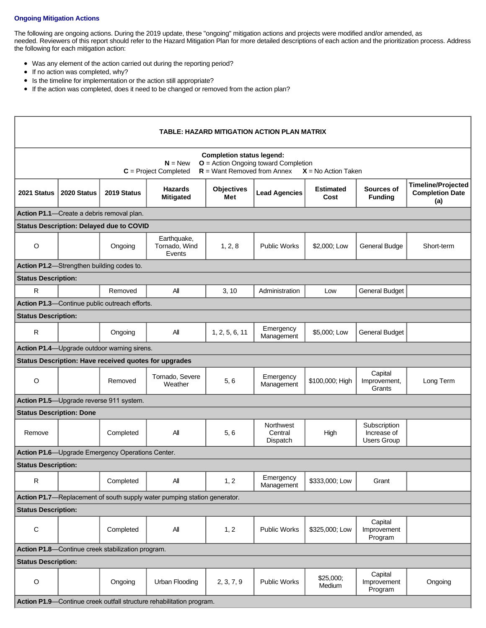### **Ongoing Mitigation Actions**

The following are ongoing actions. During the 2019 update, these "ongoing" mitigation actions and projects were modified and/or amended, as needed. Reviewers of this report should refer to the Hazard Mitigation Plan for more detailed descriptions of each action and the prioritization process. Address the following for each mitigation action:

- Was any element of the action carried out during the reporting period?
- If no action was completed, why?
- Is the timeline for implementation or the action still appropriate?
- If the action was completed, does it need to be changed or removed from the action plan?

| TABLE: HAZARD MITIGATION ACTION PLAN MATRIX       |             |                                                       |                                                                          |                                                                   |                                         |                          |                                            |                                                            |
|---------------------------------------------------|-------------|-------------------------------------------------------|--------------------------------------------------------------------------|-------------------------------------------------------------------|-----------------------------------------|--------------------------|--------------------------------------------|------------------------------------------------------------|
|                                                   |             |                                                       | $N = New$<br>$C = Project Completed$                                     | <b>Completion status legend:</b><br>$R =$ Want Removed from Annex | O = Action Ongoing toward Completion    | $X = No$ Action Taken    |                                            |                                                            |
| 2021 Status                                       | 2020 Status | 2019 Status                                           | <b>Hazards</b><br><b>Mitigated</b>                                       | <b>Objectives</b><br>Met                                          | <b>Lead Agencies</b>                    | <b>Estimated</b><br>Cost | Sources of<br><b>Funding</b>               | <b>Timeline/Projected</b><br><b>Completion Date</b><br>(a) |
|                                                   |             | Action P1.1-Create a debris removal plan.             |                                                                          |                                                                   |                                         |                          |                                            |                                                            |
|                                                   |             | <b>Status Description: Delayed due to COVID</b>       |                                                                          |                                                                   |                                         |                          |                                            |                                                            |
| $\circ$                                           |             | Ongoing                                               | Earthquake,<br>Tornado, Wind<br>Events                                   | 1, 2, 8                                                           | <b>Public Works</b>                     | \$2,000; Low             | General Budge                              | Short-term                                                 |
|                                                   |             | Action P1.2-Strengthen building codes to.             |                                                                          |                                                                   |                                         |                          |                                            |                                                            |
| <b>Status Description:</b>                        |             |                                                       |                                                                          |                                                                   |                                         |                          |                                            |                                                            |
| $\mathsf{R}$                                      |             | Removed                                               | All                                                                      | 3, 10                                                             | Administration                          | Low                      | <b>General Budget</b>                      |                                                            |
|                                                   |             | Action P1.3-Continue public outreach efforts.         |                                                                          |                                                                   |                                         |                          |                                            |                                                            |
| <b>Status Description:</b>                        |             |                                                       |                                                                          |                                                                   |                                         |                          |                                            |                                                            |
| $\mathsf{R}$                                      |             | Ongoing                                               | All                                                                      | 1, 2, 5, 6, 11                                                    | Emergency<br>Management                 | \$5,000; Low             | <b>General Budget</b>                      |                                                            |
|                                                   |             | Action P1.4-Upgrade outdoor warning sirens.           |                                                                          |                                                                   |                                         |                          |                                            |                                                            |
|                                                   |             | Status Description: Have received quotes for upgrades |                                                                          |                                                                   |                                         |                          |                                            |                                                            |
| $\circ$                                           |             | Removed                                               | Tornado, Severe<br>Weather                                               | 5,6                                                               | Emergency<br>Management                 | \$100,000; High          | Capital<br>Improvement,<br>Grants          | Long Term                                                  |
| Action P1.5-Upgrade reverse 911 system.           |             |                                                       |                                                                          |                                                                   |                                         |                          |                                            |                                                            |
| <b>Status Description: Done</b>                   |             |                                                       |                                                                          |                                                                   |                                         |                          |                                            |                                                            |
| Remove                                            |             | Completed                                             | All                                                                      | 5, 6                                                              | <b>Northwest</b><br>Central<br>Dispatch | High                     | Subscription<br>Increase of<br>Users Group |                                                            |
|                                                   |             | Action P1.6-Upgrade Emergency Operations Center.      |                                                                          |                                                                   |                                         |                          |                                            |                                                            |
| <b>Status Description:</b>                        |             |                                                       |                                                                          |                                                                   |                                         |                          |                                            |                                                            |
| $\mathsf{R}$                                      |             | Completed                                             | All                                                                      | 1, 2                                                              | Emergency<br>Management                 | \$333,000; Low           | Grant                                      |                                                            |
|                                                   |             |                                                       | Action P1.7-Replacement of south supply water pumping station generator. |                                                                   |                                         |                          |                                            |                                                            |
| <b>Status Description:</b>                        |             |                                                       |                                                                          |                                                                   |                                         |                          |                                            |                                                            |
| $\mathsf C$                                       |             | Completed                                             | All                                                                      | 1, 2                                                              | <b>Public Works</b>                     | \$325,000; Low           | Capital<br>Improvement<br>Program          |                                                            |
| Action P1.8-Continue creek stabilization program. |             |                                                       |                                                                          |                                                                   |                                         |                          |                                            |                                                            |
| <b>Status Description:</b>                        |             |                                                       |                                                                          |                                                                   |                                         |                          |                                            |                                                            |
| $\mathsf O$                                       |             | Ongoing                                               | Urban Flooding                                                           | 2, 3, 7, 9                                                        | <b>Public Works</b>                     | \$25,000;<br>Medium      | Capital<br>Improvement<br>Program          | Ongoing                                                    |
|                                                   |             |                                                       | Action P1.9-Continue creek outfall structure rehabilitation program.     |                                                                   |                                         |                          |                                            |                                                            |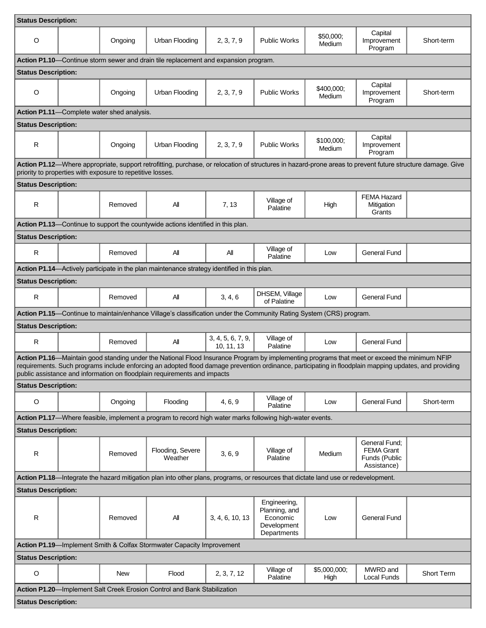| <b>Status Description:</b>                                            |  |                                                            |                                                                                                                                                                                                                                                                                                                                                                                    |                                 |                                                                         |                      |                                                                    |            |
|-----------------------------------------------------------------------|--|------------------------------------------------------------|------------------------------------------------------------------------------------------------------------------------------------------------------------------------------------------------------------------------------------------------------------------------------------------------------------------------------------------------------------------------------------|---------------------------------|-------------------------------------------------------------------------|----------------------|--------------------------------------------------------------------|------------|
| O                                                                     |  | Ongoing                                                    | Urban Flooding                                                                                                                                                                                                                                                                                                                                                                     | 2, 3, 7, 9                      | Public Works                                                            | \$50,000;<br>Medium  | Capital<br>Improvement<br>Program                                  | Short-term |
|                                                                       |  |                                                            | Action P1.10-Continue storm sewer and drain tile replacement and expansion program.                                                                                                                                                                                                                                                                                                |                                 |                                                                         |                      |                                                                    |            |
| <b>Status Description:</b>                                            |  |                                                            |                                                                                                                                                                                                                                                                                                                                                                                    |                                 |                                                                         |                      |                                                                    |            |
| $\circ$                                                               |  | Ongoing                                                    | Urban Flooding                                                                                                                                                                                                                                                                                                                                                                     | 2, 3, 7, 9                      | <b>Public Works</b>                                                     | \$400,000;<br>Medium | Capital<br>Improvement<br>Program                                  | Short-term |
|                                                                       |  | <b>Action P1.11</b> —Complete water shed analysis.         |                                                                                                                                                                                                                                                                                                                                                                                    |                                 |                                                                         |                      |                                                                    |            |
| <b>Status Description:</b>                                            |  |                                                            |                                                                                                                                                                                                                                                                                                                                                                                    |                                 |                                                                         |                      |                                                                    |            |
| R                                                                     |  | Ongoing                                                    | Urban Flooding                                                                                                                                                                                                                                                                                                                                                                     | 2, 3, 7, 9                      | <b>Public Works</b>                                                     | \$100,000;<br>Medium | Capital<br>Improvement<br>Program                                  |            |
|                                                                       |  | priority to properties with exposure to repetitive losses. | Action P1.12-Where appropriate, support retrofitting, purchase, or relocation of structures in hazard-prone areas to prevent future structure damage. Give                                                                                                                                                                                                                         |                                 |                                                                         |                      |                                                                    |            |
| <b>Status Description:</b>                                            |  |                                                            |                                                                                                                                                                                                                                                                                                                                                                                    |                                 |                                                                         |                      |                                                                    |            |
| R                                                                     |  | Removed                                                    | All                                                                                                                                                                                                                                                                                                                                                                                | 7, 13                           | Village of<br>Palatine                                                  | High                 | <b>FEMA Hazard</b><br>Mitigation<br>Grants                         |            |
|                                                                       |  |                                                            | Action P1.13-Continue to support the countywide actions identified in this plan.                                                                                                                                                                                                                                                                                                   |                                 |                                                                         |                      |                                                                    |            |
| <b>Status Description:</b>                                            |  |                                                            |                                                                                                                                                                                                                                                                                                                                                                                    |                                 |                                                                         |                      |                                                                    |            |
| R                                                                     |  | Removed                                                    | All                                                                                                                                                                                                                                                                                                                                                                                | All                             | Village of<br>Palatine                                                  | Low                  | <b>General Fund</b>                                                |            |
|                                                                       |  |                                                            | Action P1.14-Actively participate in the plan maintenance strategy identified in this plan.                                                                                                                                                                                                                                                                                        |                                 |                                                                         |                      |                                                                    |            |
| <b>Status Description:</b>                                            |  |                                                            |                                                                                                                                                                                                                                                                                                                                                                                    |                                 |                                                                         |                      |                                                                    |            |
| $\mathsf{R}$                                                          |  | Removed                                                    | All                                                                                                                                                                                                                                                                                                                                                                                | 3, 4, 6                         | DHSEM, Village<br>of Palatine                                           | Low                  | <b>General Fund</b>                                                |            |
|                                                                       |  |                                                            | Action P1.15-Continue to maintain/enhance Village's classification under the Community Rating System (CRS) program.                                                                                                                                                                                                                                                                |                                 |                                                                         |                      |                                                                    |            |
| <b>Status Description:</b>                                            |  |                                                            |                                                                                                                                                                                                                                                                                                                                                                                    |                                 |                                                                         |                      |                                                                    |            |
| $\mathsf{R}$                                                          |  | Removed                                                    | All                                                                                                                                                                                                                                                                                                                                                                                | 3, 4, 5, 6, 7, 9,<br>10, 11, 13 | Village of<br>Palatine                                                  | Low                  | General Fund                                                       |            |
|                                                                       |  |                                                            | Action P1.16—Maintain good standing under the National Flood Insurance Program by implementing programs that meet or exceed the minimum NFIP<br>requirements. Such programs include enforcing an adopted flood damage prevention ordinance, participating in floodplain mapping updates, and providing<br>public assistance and information on floodplain requirements and impacts |                                 |                                                                         |                      |                                                                    |            |
| <b>Status Description:</b>                                            |  |                                                            |                                                                                                                                                                                                                                                                                                                                                                                    |                                 |                                                                         |                      |                                                                    |            |
| O                                                                     |  | Ongoing                                                    | Flooding                                                                                                                                                                                                                                                                                                                                                                           | 4, 6, 9                         | Village of<br>Palatine                                                  | Low                  | General Fund                                                       | Short-term |
|                                                                       |  |                                                            | Action P1.17—Where feasible, implement a program to record high water marks following high-water events.                                                                                                                                                                                                                                                                           |                                 |                                                                         |                      |                                                                    |            |
| <b>Status Description:</b>                                            |  |                                                            |                                                                                                                                                                                                                                                                                                                                                                                    |                                 |                                                                         |                      |                                                                    |            |
| $\mathsf{R}$                                                          |  | Removed                                                    | Flooding, Severe<br>Weather                                                                                                                                                                                                                                                                                                                                                        | 3, 6, 9                         | Village of<br>Palatine                                                  | Medium               | General Fund:<br><b>FEMA Grant</b><br>Funds (Public<br>Assistance) |            |
|                                                                       |  |                                                            | Action P1.18—Integrate the hazard mitigation plan into other plans, programs, or resources that dictate land use or redevelopment.                                                                                                                                                                                                                                                 |                                 |                                                                         |                      |                                                                    |            |
| <b>Status Description:</b>                                            |  |                                                            |                                                                                                                                                                                                                                                                                                                                                                                    |                                 |                                                                         |                      |                                                                    |            |
| $\mathsf{R}$                                                          |  | Removed                                                    | All                                                                                                                                                                                                                                                                                                                                                                                | 3, 4, 6, 10, 13                 | Engineering,<br>Planning, and<br>Economic<br>Development<br>Departments | Low                  | General Fund                                                       |            |
| Action P1.19-Implement Smith & Colfax Stormwater Capacity Improvement |  |                                                            |                                                                                                                                                                                                                                                                                                                                                                                    |                                 |                                                                         |                      |                                                                    |            |
| <b>Status Description:</b>                                            |  |                                                            |                                                                                                                                                                                                                                                                                                                                                                                    |                                 |                                                                         |                      |                                                                    |            |
| $\circ$                                                               |  | <b>New</b>                                                 | Flood                                                                                                                                                                                                                                                                                                                                                                              | 2, 3, 7, 12                     | Village of<br>Palatine                                                  | \$5,000,000;<br>High | MWRD and<br>Local Funds                                            | Short Term |
|                                                                       |  |                                                            | Action P1.20-Implement Salt Creek Erosion Control and Bank Stabilization                                                                                                                                                                                                                                                                                                           |                                 |                                                                         |                      |                                                                    |            |
| <b>Status Description:</b>                                            |  |                                                            |                                                                                                                                                                                                                                                                                                                                                                                    |                                 |                                                                         |                      |                                                                    |            |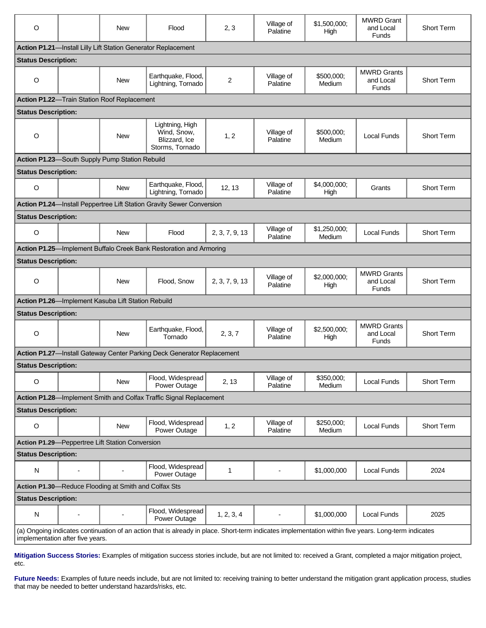| O                                |                          | <b>New</b>                                           | Flood                                                                                                                                                | 2, 3           | Village of<br>Palatine | \$1,500,000;<br>High   | <b>MWRD Grant</b><br>and Local<br><b>Funds</b>  | Short Term        |
|----------------------------------|--------------------------|------------------------------------------------------|------------------------------------------------------------------------------------------------------------------------------------------------------|----------------|------------------------|------------------------|-------------------------------------------------|-------------------|
|                                  |                          |                                                      | Action P1.21-Install Lilly Lift Station Generator Replacement                                                                                        |                |                        |                        |                                                 |                   |
| <b>Status Description:</b>       |                          |                                                      |                                                                                                                                                      |                |                        |                        |                                                 |                   |
| O                                |                          | <b>New</b>                                           | Earthquake, Flood,<br>Lightning, Tornado                                                                                                             | 2              | Village of<br>Palatine | \$500,000;<br>Medium   | <b>MWRD Grants</b><br>and Local<br>Funds        | Short Term        |
|                                  |                          | Action P1.22-Train Station Roof Replacement          |                                                                                                                                                      |                |                        |                        |                                                 |                   |
| <b>Status Description:</b>       |                          |                                                      |                                                                                                                                                      |                |                        |                        |                                                 |                   |
| $\circ$                          |                          | <b>New</b>                                           | Lightning, High<br>Wind, Snow,<br>Blizzard, Ice<br>Storms, Tornado                                                                                   | 1, 2           | Village of<br>Palatine | \$500,000;<br>Medium   | <b>Local Funds</b>                              | Short Term        |
|                                  |                          | Action P1.23-South Supply Pump Station Rebuild       |                                                                                                                                                      |                |                        |                        |                                                 |                   |
| <b>Status Description:</b>       |                          |                                                      |                                                                                                                                                      |                |                        |                        |                                                 |                   |
| O                                |                          | <b>New</b>                                           | Earthquake, Flood,<br>Lightning, Tornado                                                                                                             | 12, 13         | Village of<br>Palatine | \$4,000,000;<br>High   | Grants                                          | <b>Short Term</b> |
|                                  |                          |                                                      | Action P1.24-Install Peppertree Lift Station Gravity Sewer Conversion                                                                                |                |                        |                        |                                                 |                   |
| <b>Status Description:</b>       |                          |                                                      |                                                                                                                                                      |                |                        |                        |                                                 |                   |
| $\circ$                          |                          | <b>New</b>                                           | Flood                                                                                                                                                | 2, 3, 7, 9, 13 | Village of<br>Palatine | \$1,250,000;<br>Medium | Local Funds                                     | Short Term        |
|                                  |                          |                                                      | Action P1.25-Implement Buffalo Creek Bank Restoration and Armoring                                                                                   |                |                        |                        |                                                 |                   |
| <b>Status Description:</b>       |                          |                                                      |                                                                                                                                                      |                |                        |                        |                                                 |                   |
| $\circ$                          |                          | <b>New</b>                                           | Flood, Snow                                                                                                                                          | 2, 3, 7, 9, 13 | Village of<br>Palatine | \$2,000,000;<br>High   | <b>MWRD Grants</b><br>and Local<br>Funds        | Short Term        |
|                                  |                          | Action P1.26-Implement Kasuba Lift Station Rebuild   |                                                                                                                                                      |                |                        |                        |                                                 |                   |
| <b>Status Description:</b>       |                          |                                                      |                                                                                                                                                      |                |                        |                        |                                                 |                   |
| $\circ$                          |                          | <b>New</b>                                           | Earthquake, Flood,<br>Tornado                                                                                                                        | 2, 3, 7        | Village of<br>Palatine | \$2,500,000;<br>High   | <b>MWRD Grants</b><br>and Local<br><b>Funds</b> | Short Term        |
|                                  |                          |                                                      | Action P1.27-Install Gateway Center Parking Deck Generator Replacement                                                                               |                |                        |                        |                                                 |                   |
| <b>Status Description:</b>       |                          |                                                      |                                                                                                                                                      |                |                        |                        |                                                 |                   |
| O                                |                          | <b>New</b>                                           | Flood, Widespread<br>Power Outage                                                                                                                    | 2, 13          | Village of<br>Palatine | \$350,000;<br>Medium   | Local Funds                                     | <b>Short Term</b> |
|                                  |                          |                                                      | Action P1.28-Implement Smith and Colfax Traffic Signal Replacement                                                                                   |                |                        |                        |                                                 |                   |
| <b>Status Description:</b>       |                          |                                                      |                                                                                                                                                      |                |                        |                        |                                                 |                   |
| O                                |                          | <b>New</b>                                           | Flood, Widespread<br>Power Outage                                                                                                                    | 1, 2           | Village of<br>Palatine | \$250,000;<br>Medium   | Local Funds                                     | Short Term        |
|                                  |                          | Action P1.29-Peppertree Lift Station Conversion      |                                                                                                                                                      |                |                        |                        |                                                 |                   |
| <b>Status Description:</b>       |                          |                                                      |                                                                                                                                                      |                |                        |                        |                                                 |                   |
| N                                | $\overline{\phantom{a}}$ |                                                      | Flood, Widespread<br>Power Outage                                                                                                                    | $\mathbf{1}$   |                        | \$1,000,000            | Local Funds                                     | 2024              |
|                                  |                          | Action P1.30-Reduce Flooding at Smith and Colfax Sts |                                                                                                                                                      |                |                        |                        |                                                 |                   |
| <b>Status Description:</b>       |                          |                                                      |                                                                                                                                                      |                |                        |                        |                                                 |                   |
| N                                | $\overline{a}$           |                                                      | Flood, Widespread<br>Power Outage                                                                                                                    | 1, 2, 3, 4     |                        | \$1,000,000            | <b>Local Funds</b>                              | 2025              |
| implementation after five years. |                          |                                                      | (a) Ongoing indicates continuation of an action that is already in place. Short-term indicates implementation within five years. Long-term indicates |                |                        |                        |                                                 |                   |

**Mitigation Success Stories:** Examples of mitigation success stories include, but are not limited to: received a Grant, completed a major mitigation project, etc.

**Future Needs:** Examples of future needs include, but are not limited to: receiving training to better understand the mitigation grant application process, studies that may be needed to better understand hazards/risks, etc.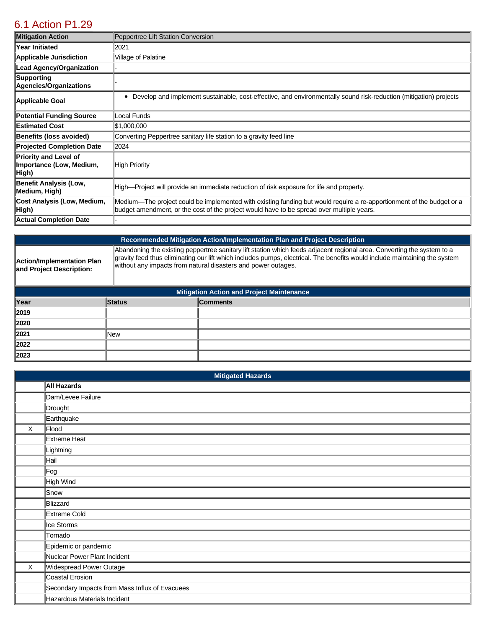## [6.1 Action P1.29](https://palatine.isc-cemp.com/Cemp/Details?id=8334942)

| <b>Mitigation Action</b>                                          | Peppertree Lift Station Conversion                                                                                                                                                                                 |
|-------------------------------------------------------------------|--------------------------------------------------------------------------------------------------------------------------------------------------------------------------------------------------------------------|
| Year Initiated                                                    | 2021                                                                                                                                                                                                               |
| <b>Applicable Jurisdiction</b>                                    | Village of Palatine                                                                                                                                                                                                |
| <b>Lead Agency/Organization</b>                                   |                                                                                                                                                                                                                    |
| Supporting<br>Agencies/Organizations                              |                                                                                                                                                                                                                    |
| Applicable Goal                                                   | Develop and implement sustainable, cost-effective, and environmentally sound risk-reduction (mitigation) projects                                                                                                  |
| <b>Potential Funding Source</b>                                   | Local Funds                                                                                                                                                                                                        |
| <b>Estimated Cost</b>                                             | \$1,000,000                                                                                                                                                                                                        |
| <b>Benefits (loss avoided)</b>                                    | Converting Peppertree sanitary life station to a gravity feed line                                                                                                                                                 |
| <b>Projected Completion Date</b>                                  | 2024                                                                                                                                                                                                               |
| <b>Priority and Level of</b><br>Importance (Low, Medium,<br>High) | High Priority                                                                                                                                                                                                      |
| <b>Benefit Analysis (Low,</b><br>Medium, High)                    | High-Project will provide an immediate reduction of risk exposure for life and property.                                                                                                                           |
| Cost Analysis (Low, Medium,<br>High)                              | Medium—The project could be implemented with existing funding but would require a re-apportionment of the budget or a<br>budget amendment, or the cost of the project would have to be spread over multiple years. |
| <b>Actual Completion Date</b>                                     |                                                                                                                                                                                                                    |

**Action/Implementation Plan and Project Description:** 

**Recommended Mitigation Action/Implementation Plan and Project Description**

Abandoning the existing peppertree sanitary lift station which feeds adjacent regional area. Converting the system to a gravity feed thus eliminating our lift which includes pumps, electrical. The benefits would include maintaining the system without any impacts from natural disasters and power outages.

| <b>Mitigation Action and Project Maintenance</b> |               |                 |  |  |
|--------------------------------------------------|---------------|-----------------|--|--|
| Year                                             | <b>Status</b> | <b>Comments</b> |  |  |
| 2019                                             |               |                 |  |  |
| 2020                                             |               |                 |  |  |
| 2021                                             | lNew          |                 |  |  |
| 2022                                             |               |                 |  |  |
| 2023                                             |               |                 |  |  |

|         | <b>Mitigated Hazards</b>                       |  |  |  |
|---------|------------------------------------------------|--|--|--|
|         | <b>All Hazards</b>                             |  |  |  |
|         | Dam/Levee Failure                              |  |  |  |
|         | Drought                                        |  |  |  |
|         | Earthquake                                     |  |  |  |
| X       | Flood                                          |  |  |  |
|         | Extreme Heat                                   |  |  |  |
|         | Lightning                                      |  |  |  |
|         | Hail                                           |  |  |  |
|         | ∥Fog                                           |  |  |  |
|         | High Wind                                      |  |  |  |
|         | Snow                                           |  |  |  |
|         | Blizzard                                       |  |  |  |
|         | Extreme Cold                                   |  |  |  |
|         | Ice Storms                                     |  |  |  |
|         | Tornado                                        |  |  |  |
|         | Epidemic or pandemic                           |  |  |  |
|         | Nuclear Power Plant Incident                   |  |  |  |
| $\sf X$ | Widespread Power Outage                        |  |  |  |
|         | Coastal Erosion                                |  |  |  |
|         | Secondary Impacts from Mass Influx of Evacuees |  |  |  |
|         | Hazardous Materials Incident                   |  |  |  |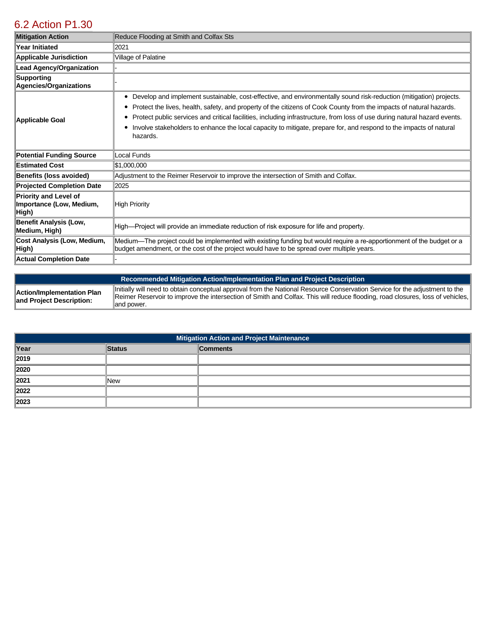# [6.2 Action P1.30](https://palatine.isc-cemp.com/Cemp/Details?id=8334945)

| <b>Mitigation Action</b>                                          | Reduce Flooding at Smith and Colfax Sts                                                                                                                                                                                                                                                                                                                                                                                                                                                                            |
|-------------------------------------------------------------------|--------------------------------------------------------------------------------------------------------------------------------------------------------------------------------------------------------------------------------------------------------------------------------------------------------------------------------------------------------------------------------------------------------------------------------------------------------------------------------------------------------------------|
| <b>Year Initiated</b>                                             | 2021                                                                                                                                                                                                                                                                                                                                                                                                                                                                                                               |
| <b>Applicable Jurisdiction</b>                                    | Village of Palatine                                                                                                                                                                                                                                                                                                                                                                                                                                                                                                |
| <b>Lead Agency/Organization</b>                                   |                                                                                                                                                                                                                                                                                                                                                                                                                                                                                                                    |
| Supporting<br>Agencies/Organizations                              |                                                                                                                                                                                                                                                                                                                                                                                                                                                                                                                    |
| Applicable Goal                                                   | Develop and implement sustainable, cost-effective, and environmentally sound risk-reduction (mitigation) projects.<br>٠<br>Protect the lives, health, safety, and property of the citizens of Cook County from the impacts of natural hazards.<br>٠<br>Protect public services and critical facilities, including infrastructure, from loss of use during natural hazard events.<br>Involve stakeholders to enhance the local capacity to mitigate, prepare for, and respond to the impacts of natural<br>hazards. |
| <b>Potential Funding Source</b>                                   | <b>Local Funds</b>                                                                                                                                                                                                                                                                                                                                                                                                                                                                                                 |
| <b>Estimated Cost</b>                                             | \$1,000,000                                                                                                                                                                                                                                                                                                                                                                                                                                                                                                        |
| <b>Benefits (loss avoided)</b>                                    | Adjustment to the Reimer Reservoir to improve the intersection of Smith and Colfax.                                                                                                                                                                                                                                                                                                                                                                                                                                |
| <b>Projected Completion Date</b>                                  | 2025                                                                                                                                                                                                                                                                                                                                                                                                                                                                                                               |
| <b>Priority and Level of</b><br>Importance (Low, Medium,<br>High) | High Priority                                                                                                                                                                                                                                                                                                                                                                                                                                                                                                      |
| <b>Benefit Analysis (Low,</b><br>Medium, High)                    | High—Project will provide an immediate reduction of risk exposure for life and property.                                                                                                                                                                                                                                                                                                                                                                                                                           |
| Cost Analysis (Low, Medium,<br>High)                              | Medium—The project could be implemented with existing funding but would require a re-apportionment of the budget or a<br>budget amendment, or the cost of the project would have to be spread over multiple years.                                                                                                                                                                                                                                                                                                 |
| <b>Actual Completion Date</b>                                     |                                                                                                                                                                                                                                                                                                                                                                                                                                                                                                                    |

|                                                        | l Recommended Mitigation Action/Implementation Plan and Project Description,                                                                                                                                                                                                 |
|--------------------------------------------------------|------------------------------------------------------------------------------------------------------------------------------------------------------------------------------------------------------------------------------------------------------------------------------|
| Action/Implementation Plan<br>and Project Description: | Initially will need to obtain conceptual approval from the National Resource Conservation Service for the adjustment to the<br>Reimer Reservoir to improve the intersection of Smith and Colfax. This will reduce flooding, road closures, loss of vehicles,<br>lland power. |

| <b>Mitigation Action and Project Maintenance</b> |        |                 |  |  |
|--------------------------------------------------|--------|-----------------|--|--|
| Year                                             | Status | <b>Comments</b> |  |  |
| 2019                                             |        |                 |  |  |
| 2020                                             |        |                 |  |  |
| 2021                                             | New    |                 |  |  |
| 2022                                             |        |                 |  |  |
| 2023                                             |        |                 |  |  |